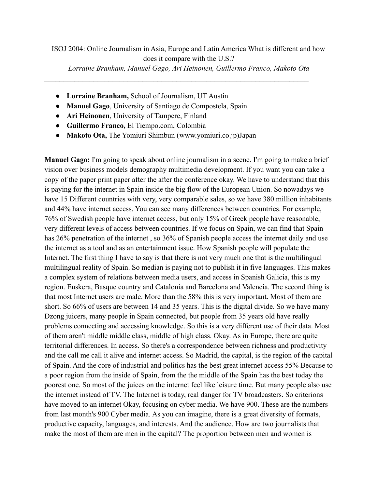\_\_\_\_\_\_\_\_\_\_\_\_\_\_\_\_\_\_\_\_\_\_\_\_\_\_\_\_\_\_\_\_\_\_\_\_\_\_\_\_\_\_\_\_\_\_\_\_\_\_\_\_\_\_\_\_\_\_\_\_\_\_\_\_\_\_\_\_\_\_

- **Lorraine Branham,** School of Journalism, UT Austin
- **Manuel Gago**, University of Santiago de Compostela, Spain
- **Ari Heinonen**, University of Tampere, Finland
- **Guillermo Franco,** El Tiempo.com, Colombia
- **Makoto Ota,** The Yomiuri Shimbun ([www.yomiuri.co.jp\)](http://www.yomiuri.co.jp/)Japan

**Manuel Gago:** I'm going to speak about online journalism in a scene. I'm going to make a brief vision over business models demography multimedia development. If you want you can take a copy of the paper print paper after the after the conference okay. We have to understand that this is paying for the internet in Spain inside the big flow of the European Union. So nowadays we have 15 Different countries with very, very comparable sales, so we have 380 million inhabitants and 44% have internet access. You can see many differences between countries. For example, 76% of Swedish people have internet access, but only 15% of Greek people have reasonable, very different levels of access between countries. If we focus on Spain, we can find that Spain has 26% penetration of the internet , so 36% of Spanish people access the internet daily and use the internet as a tool and as an entertainment issue. How Spanish people will populate the Internet. The first thing I have to say is that there is not very much one that is the multilingual multilingual reality of Spain. So median is paying not to publish it in five languages. This makes a complex system of relations between media users, and access in Spanish Galicia, this is my region. Euskera, Basque country and Catalonia and Barcelona and Valencia. The second thing is that most Internet users are male. More than the 58% this is very important. Most of them are short. So 66% of users are between 14 and 35 years. This is the digital divide. So we have many Dzong juicers, many people in Spain connected, but people from 35 years old have really problems connecting and accessing knowledge. So this is a very different use of their data. Most of them aren't middle middle class, middle of high class. Okay. As in Europe, there are quite territorial differences. In access. So there's a correspondence between richness and productivity and the call me call it alive and internet access. So Madrid, the capital, is the region of the capital of Spain. And the core of industrial and politics has the best great internet access 55% Because to a poor region from the inside of Spain, from the the middle of the Spain has the best today the poorest one. So most of the juices on the internet feel like leisure time. But many people also use the internet instead of TV. The Internet is today, real danger for TV broadcasters. So criterions have moved to an internet Okay, focusing on cyber media. We have 900. These are the numbers from last month's 900 Cyber media. As you can imagine, there is a great diversity of formats, productive capacity, languages, and interests. And the audience. How are two journalists that make the most of them are men in the capital? The proportion between men and women is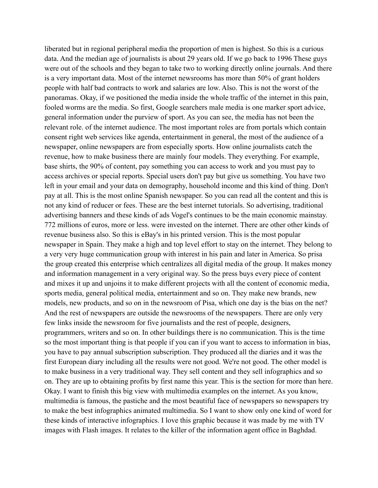liberated but in regional peripheral media the proportion of men is highest. So this is a curious data. And the median age of journalists is about 29 years old. If we go back to 1996 These guys were out of the schools and they began to take two to working directly online journals. And there is a very important data. Most of the internet newsrooms has more than 50% of grant holders people with half bad contracts to work and salaries are low. Also. This is not the worst of the panoramas. Okay, if we positioned the media inside the whole traffic of the internet in this pain, fooled worms are the media. So first, Google searchers male media is one marker sport advice, general information under the purview of sport. As you can see, the media has not been the relevant role. of the internet audience. The most important roles are from portals which contain consent right web services like agenda, entertainment in general, the most of the audience of a newspaper, online newspapers are from especially sports. How online journalists catch the revenue, how to make business there are mainly four models. They everything. For example, base shirts, the 90% of content, pay something you can access to work and you must pay to access archives or special reports. Special users don't pay but give us something. You have two left in your email and your data on demography, household income and this kind of thing. Don't pay at all. This is the most online Spanish newspaper. So you can read all the content and this is not any kind of reducer or fees. These are the best internet tutorials. So advertising, traditional advertising banners and these kinds of ads Vogel's continues to be the main economic mainstay. 772 millions of euros, more or less. were invested on the internet. There are other other kinds of revenue business also. So this is eBay's in his printed version. This is the most popular newspaper in Spain. They make a high and top level effort to stay on the internet. They belong to a very very huge communication group with interest in his pain and later in America. So prisa the group created this enterprise which centralizes all digital media of the group. It makes money and information management in a very original way. So the press buys every piece of content and mixes it up and unjoins it to make different projects with all the content of economic media, sports media, general political media, entertainment and so on. They make new brands, new models, new products, and so on in the newsroom of Pisa, which one day is the bias on the net? And the rest of newspapers are outside the newsrooms of the newspapers. There are only very few links inside the newsroom for five journalists and the rest of people, designers, programmers, writers and so on. In other buildings there is no communication. This is the time so the most important thing is that people if you can if you want to access to information in bias, you have to pay annual subscription subscription. They produced all the diaries and it was the first European diary including all the results were not good. We're not good. The other model is to make business in a very traditional way. They sell content and they sell infographics and so on. They are up to obtaining profits by first name this year. This is the section for more than here. Okay. I want to finish this big view with multimedia examples on the internet. As you know, multimedia is famous, the pastiche and the most beautiful face of newspapers so newspapers try to make the best infographics animated multimedia. So I want to show only one kind of word for these kinds of interactive infographics. I love this graphic because it was made by me with TV images with Flash images. It relates to the killer of the information agent office in Baghdad.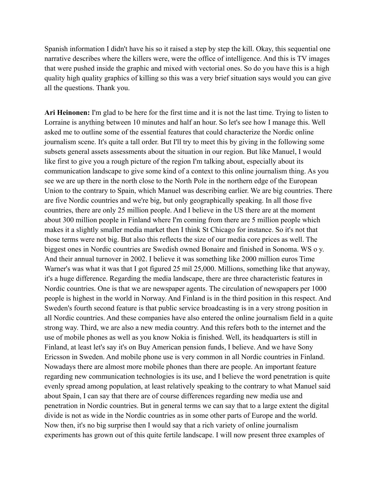Spanish information I didn't have his so it raised a step by step the kill. Okay, this sequential one narrative describes where the killers were, were the office of intelligence. And this is TV images that were pushed inside the graphic and mixed with vectorial ones. So do you have this is a high quality high quality graphics of killing so this was a very brief situation says would you can give all the questions. Thank you.

**Ari Heinonen:** I'm glad to be here for the first time and it is not the last time. Trying to listen to Lorraine is anything between 10 minutes and half an hour. So let's see how I manage this. Well asked me to outline some of the essential features that could characterize the Nordic online journalism scene. It's quite a tall order. But I'll try to meet this by giving in the following some subsets general assets assessments about the situation in our region. But like Manuel, I would like first to give you a rough picture of the region I'm talking about, especially about its communication landscape to give some kind of a context to this online journalism thing. As you see we are up there in the north close to the North Pole in the northern edge of the European Union to the contrary to Spain, which Manuel was describing earlier. We are big countries. There are five Nordic countries and we're big, but only geographically speaking. In all those five countries, there are only 25 million people. And I believe in the US there are at the moment about 300 million people in Finland where I'm coming from there are 5 million people which makes it a slightly smaller media market then I think St Chicago for instance. So it's not that those terms were not big. But also this reflects the size of our media core prices as well. The biggest ones in Nordic countries are Swedish owned Bonaire and finished in Sonoma. WS o y. And their annual turnover in 2002. I believe it was something like 2000 million euros Time Warner's was what it was that I got figured 25 mil 25,000. Millions, something like that anyway, it's a huge difference. Regarding the media landscape, there are three characteristic features in Nordic countries. One is that we are newspaper agents. The circulation of newspapers per 1000 people is highest in the world in Norway. And Finland is in the third position in this respect. And Sweden's fourth second feature is that public service broadcasting is in a very strong position in all Nordic countries. And these companies have also entered the online journalism field in a quite strong way. Third, we are also a new media country. And this refers both to the internet and the use of mobile phones as well as you know Nokia is finished. Well, its headquarters is still in Finland, at least let's say it's on Buy American pension funds, I believe. And we have Sony Ericsson in Sweden. And mobile phone use is very common in all Nordic countries in Finland. Nowadays there are almost more mobile phones than there are people. An important feature regarding new communication technologies is its use, and I believe the word penetration is quite evenly spread among population, at least relatively speaking to the contrary to what Manuel said about Spain, I can say that there are of course differences regarding new media use and penetration in Nordic countries. But in general terms we can say that to a large extent the digital divide is not as wide in the Nordic countries as in some other parts of Europe and the world. Now then, it's no big surprise then I would say that a rich variety of online journalism experiments has grown out of this quite fertile landscape. I will now present three examples of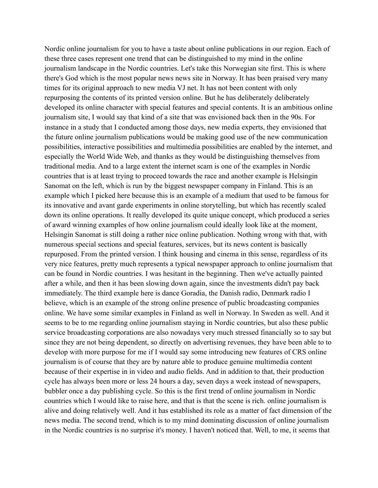Nordic online journalism for you to have a taste about online publications in our region. Each of these three cases represent one trend that can be distinguished to my mind in the online journalism landscape in the Nordic countries. Let's take this Norwegian site first. This is where there's God which is the most popular news news site in Norway. It has been praised very many times for its original approach to new media VJ net. It has not been content with only repurposing the contents of its printed version online. But he has deliberately deliberately developed its online character with special features and special contents. It is an ambitious online journalism site, I would say that kind of a site that was envisioned back then in the 90s. For instance in a study that I conducted among those days, new media experts, they envisioned that the future online journalism publications would be making good use of the new communication possibilities, interactive possibilities and multimedia possibilities are enabled by the internet, and especially the World Wide Web, and thanks as they would be distinguishing themselves from traditional media. And to a large extent the internet scam is one of the examples in Nordic countries that is at least trying to proceed towards the race and another example is Helsingin Sanomat on the left, which is run by the biggest newspaper company in Finland. This is an example which I picked here because this is an example of a medium that used to be famous for its innovative and avant garde experiments in online storytelling, but which has recently scaled down its online operations. It really developed its quite unique concept, which produced a series of award winning examples of how online journalism could ideally look like at the moment, Helsingin Sanomat is still doing a rather nice online publication. Nothing wrong with that, with numerous special sections and special features, services, but its news content is basically repurposed. From the printed version. I think housing and cinema in this sense, regardless of its very nice features, pretty much represents a typical newspaper approach to online journalism that can be found in Nordic countries. I was hesitant in the beginning. Then we've actually painted after a while, and then it has been slowing down again, since the investments didn't pay back immediately. The third example here is dance Goradia, the Danish radio, Denmark radio I believe, which is an example of the strong online presence of public broadcasting companies online. We have some similar examples in Finland as well in Norway. In Sweden as well. And it seems to be to me regarding online journalism staying in Nordic countries, but also these public service broadcasting corporations are also nowadays very much stressed financially so to say but since they are not being dependent, so directly on advertising revenues, they have been able to to develop with more purpose for me if I would say some introducing new features of CRS online journalism is of course that they are by nature able to produce genuine multimedia content because of their expertise in in video and audio fields. And in addition to that, their production cycle has always been more or less 24 hours a day, seven days a week instead of newspapers, bubbler once a day publishing cycle. So this is the first trend of online journalism in Nordic countries which I would like to raise here, and that is that the scene is rich. online journalism is alive and doing relatively well. And it has established its role as a matter of fact dimension of the news media. The second trend, which is to my mind dominating discussion of online journalism in the Nordic countries is no surprise it's money. I haven't noticed that. Well, to me, it seems that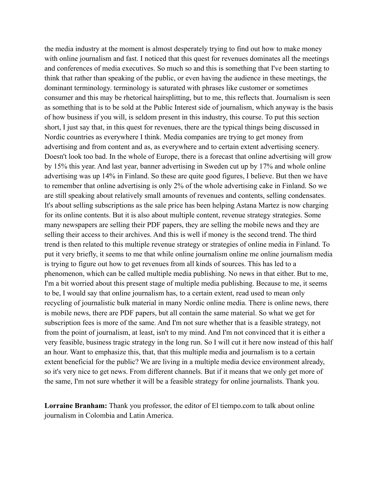the media industry at the moment is almost desperately trying to find out how to make money with online journalism and fast. I noticed that this quest for revenues dominates all the meetings and conferences of media executives. So much so and this is something that I've been starting to think that rather than speaking of the public, or even having the audience in these meetings, the dominant terminology. terminology is saturated with phrases like customer or sometimes consumer and this may be rhetorical hairsplitting, but to me, this reflects that. Journalism is seen as something that is to be sold at the Public Interest side of journalism, which anyway is the basis of how business if you will, is seldom present in this industry, this course. To put this section short, I just say that, in this quest for revenues, there are the typical things being discussed in Nordic countries as everywhere I think. Media companies are trying to get money from advertising and from content and as, as everywhere and to certain extent advertising scenery. Doesn't look too bad. In the whole of Europe, there is a forecast that online advertising will grow by 15% this year. And last year, banner advertising in Sweden cut up by 17% and whole online advertising was up 14% in Finland. So these are quite good figures, I believe. But then we have to remember that online advertising is only 2% of the whole advertising cake in Finland. So we are still speaking about relatively small amounts of revenues and contents, selling condensates. It's about selling subscriptions as the sale price has been helping Astana Martez is now charging for its online contents. But it is also about multiple content, revenue strategy strategies. Some many newspapers are selling their PDF papers, they are selling the mobile news and they are selling their access to their archives. And this is well if money is the second trend. The third trend is then related to this multiple revenue strategy or strategies of online media in Finland. To put it very briefly, it seems to me that while online journalism online me online journalism media is trying to figure out how to get revenues from all kinds of sources. This has led to a phenomenon, which can be called multiple media publishing. No news in that either. But to me, I'm a bit worried about this present stage of multiple media publishing. Because to me, it seems to be, I would say that online journalism has, to a certain extent, read used to mean only recycling of journalistic bulk material in many Nordic online media. There is online news, there is mobile news, there are PDF papers, but all contain the same material. So what we get for subscription fees is more of the same. And I'm not sure whether that is a feasible strategy, not from the point of journalism, at least, isn't to my mind. And I'm not convinced that it is either a very feasible, business tragic strategy in the long run. So I will cut it here now instead of this half an hour. Want to emphasize this, that, that this multiple media and journalism is to a certain extent beneficial for the public? We are living in a multiple media device environment already, so it's very nice to get news. From different channels. But if it means that we only get more of the same, I'm not sure whether it will be a feasible strategy for online journalists. Thank you.

**Lorraine Branham:** Thank you professor, the editor of El tiempo.com to talk about online journalism in Colombia and Latin America.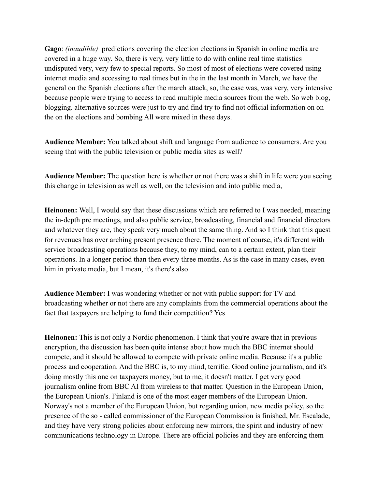**Gago**: *(inaudible)* predictions covering the election elections in Spanish in online media are covered in a huge way. So, there is very, very little to do with online real time statistics undisputed very, very few to special reports. So most of most of elections were covered using internet media and accessing to real times but in the in the last month in March, we have the general on the Spanish elections after the march attack, so, the case was, was very, very intensive because people were trying to access to read multiple media sources from the web. So web blog, blogging. alternative sources were just to try and find try to find not official information on on the on the elections and bombing All were mixed in these days.

**Audience Member:** You talked about shift and language from audience to consumers. Are you seeing that with the public television or public media sites as well?

**Audience Member:** The question here is whether or not there was a shift in life were you seeing this change in television as well as well, on the television and into public media,

**Heinonen:** Well, I would say that these discussions which are referred to I was needed, meaning the in-depth pre meetings, and also public service, broadcasting, financial and financial directors and whatever they are, they speak very much about the same thing. And so I think that this quest for revenues has over arching present presence there. The moment of course, it's different with service broadcasting operations because they, to my mind, can to a certain extent, plan their operations. In a longer period than then every three months. As is the case in many cases, even him in private media, but I mean, it's there's also

**Audience Member:** I was wondering whether or not with public support for TV and broadcasting whether or not there are any complaints from the commercial operations about the fact that taxpayers are helping to fund their competition? Yes

**Heinonen:** This is not only a Nordic phenomenon. I think that you're aware that in previous encryption, the discussion has been quite intense about how much the BBC internet should compete, and it should be allowed to compete with private online media. Because it's a public process and cooperation. And the BBC is, to my mind, terrific. Good online journalism, and it's doing mostly this one on taxpayers money, but to me, it doesn't matter. I get very good journalism online from BBC AI from wireless to that matter. Question in the European Union, the European Union's. Finland is one of the most eager members of the European Union. Norway's not a member of the European Union, but regarding union, new media policy, so the presence of the so - called commissioner of the European Commission is finished, Mr. Escalade, and they have very strong policies about enforcing new mirrors, the spirit and industry of new communications technology in Europe. There are official policies and they are enforcing them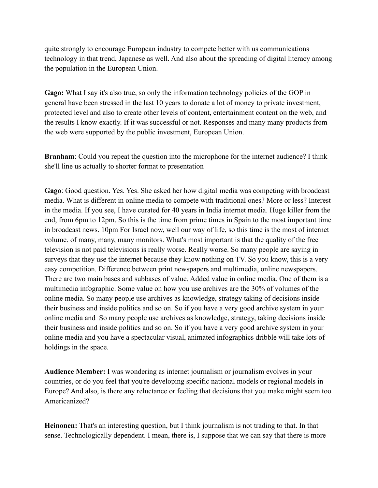quite strongly to encourage European industry to compete better with us communications technology in that trend, Japanese as well. And also about the spreading of digital literacy among the population in the European Union.

**Gago:** What I say it's also true, so only the information technology policies of the GOP in general have been stressed in the last 10 years to donate a lot of money to private investment, protected level and also to create other levels of content, entertainment content on the web, and the results I know exactly. If it was successful or not. Responses and many many products from the web were supported by the public investment, European Union.

**Branham**: Could you repeat the question into the microphone for the internet audience? I think she'll line us actually to shorter format to presentation

**Gago**: Good question. Yes. Yes. She asked her how digital media was competing with broadcast media. What is different in online media to compete with traditional ones? More or less? Interest in the media. If you see, I have curated for 40 years in India internet media. Huge killer from the end, from 6pm to 12pm. So this is the time from prime times in Spain to the most important time in broadcast news. 10pm For Israel now, well our way of life, so this time is the most of internet volume. of many, many, many monitors. What's most important is that the quality of the free television is not paid televisions is really worse. Really worse. So many people are saying in surveys that they use the internet because they know nothing on TV. So you know, this is a very easy competition. Difference between print newspapers and multimedia, online newspapers. There are two main bases and subbases of value. Added value in online media. One of them is a multimedia infographic. Some value on how you use archives are the 30% of volumes of the online media. So many people use archives as knowledge, strategy taking of decisions inside their business and inside politics and so on. So if you have a very good archive system in your online media and So many people use archives as knowledge, strategy, taking decisions inside their business and inside politics and so on. So if you have a very good archive system in your online media and you have a spectacular visual, animated infographics dribble will take lots of holdings in the space.

**Audience Member:** I was wondering as internet journalism or journalism evolves in your countries, or do you feel that you're developing specific national models or regional models in Europe? And also, is there any reluctance or feeling that decisions that you make might seem too Americanized?

**Heinonen:** That's an interesting question, but I think journalism is not trading to that. In that sense. Technologically dependent. I mean, there is, I suppose that we can say that there is more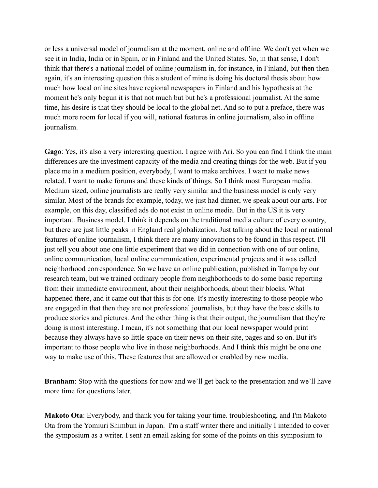or less a universal model of journalism at the moment, online and offline. We don't yet when we see it in India, India or in Spain, or in Finland and the United States. So, in that sense, I don't think that there's a national model of online journalism in, for instance, in Finland, but then then again, it's an interesting question this a student of mine is doing his doctoral thesis about how much how local online sites have regional newspapers in Finland and his hypothesis at the moment he's only begun it is that not much but but he's a professional journalist. At the same time, his desire is that they should be local to the global net. And so to put a preface, there was much more room for local if you will, national features in online journalism, also in offline journalism.

**Gago**: Yes, it's also a very interesting question. I agree with Ari. So you can find I think the main differences are the investment capacity of the media and creating things for the web. But if you place me in a medium position, everybody, I want to make archives. I want to make news related. I want to make forums and these kinds of things. So I think most European media. Medium sized, online journalists are really very similar and the business model is only very similar. Most of the brands for example, today, we just had dinner, we speak about our arts. For example, on this day, classified ads do not exist in online media. But in the US it is very important. Business model. I think it depends on the traditional media culture of every country, but there are just little peaks in England real globalization. Just talking about the local or national features of online journalism, I think there are many innovations to be found in this respect. I'll just tell you about one one little experiment that we did in connection with one of our online, online communication, local online communication, experimental projects and it was called neighborhood correspondence. So we have an online publication, published in Tampa by our research team, but we trained ordinary people from neighborhoods to do some basic reporting from their immediate environment, about their neighborhoods, about their blocks. What happened there, and it came out that this is for one. It's mostly interesting to those people who are engaged in that then they are not professional journalists, but they have the basic skills to produce stories and pictures. And the other thing is that their output, the journalism that they're doing is most interesting. I mean, it's not something that our local newspaper would print because they always have so little space on their news on their site, pages and so on. But it's important to those people who live in those neighborhoods. And I think this might be one one way to make use of this. These features that are allowed or enabled by new media.

**Branham**: Stop with the questions for now and we'll get back to the presentation and we'll have more time for questions later.

**Makoto Ota**: Everybody, and thank you for taking your time. troubleshooting, and I'm Makoto Ota from the Yomiuri Shimbun in Japan. I'm a staff writer there and initially I intended to cover the symposium as a writer. I sent an email asking for some of the points on this symposium to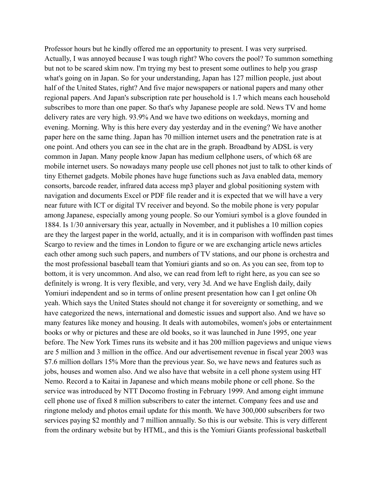Professor hours but he kindly offered me an opportunity to present. I was very surprised. Actually, I was annoyed because I was tough right? Who covers the pool? To summon something but not to be scared skim now. I'm trying my best to present some outlines to help you grasp what's going on in Japan. So for your understanding, Japan has 127 million people, just about half of the United States, right? And five major newspapers or national papers and many other regional papers. And Japan's subscription rate per household is 1.7 which means each household subscribes to more than one paper. So that's why Japanese people are sold. News TV and home delivery rates are very high. 93.9% And we have two editions on weekdays, morning and evening. Morning. Why is this here every day yesterday and in the evening? We have another paper here on the same thing. Japan has 70 million internet users and the penetration rate is at one point. And others you can see in the chat are in the graph. Broadband by ADSL is very common in Japan. Many people know Japan has medium cellphone users, of which 68 are mobile internet users. So nowadays many people use cell phones not just to talk to other kinds of tiny Ethernet gadgets. Mobile phones have huge functions such as Java enabled data, memory consorts, barcode reader, infrared data access mp3 player and global positioning system with navigation and documents Excel or PDF file reader and it is expected that we will have a very near future with ICT or digital TV receiver and beyond. So the mobile phone is very popular among Japanese, especially among young people. So our Yomiuri symbol is a glove founded in 1884. Is 1/30 anniversary this year, actually in November, and it publishes a 10 million copies are they the largest paper in the world, actually, and it is in comparison with woffinden past times Scargo to review and the times in London to figure or we are exchanging article news articles each other among such such papers, and numbers of TV stations, and our phone is orchestra and the most professional baseball team that Yomiuri giants and so on. As you can see, from top to bottom, it is very uncommon. And also, we can read from left to right here, as you can see so definitely is wrong. It is very flexible, and very, very 3d. And we have English daily, daily Yomiuri independent and so in terms of online present presentation how can I get online Oh yeah. Which says the United States should not change it for sovereignty or something, and we have categorized the news, international and domestic issues and support also. And we have so many features like money and housing. It deals with automobiles, women's jobs or entertainment books or why or pictures and these are old books, so it was launched in June 1995, one year before. The New York Times runs its website and it has 200 million pageviews and unique views are 5 million and 3 million in the office. And our advertisement revenue in fiscal year 2003 was \$7.6 million dollars 15% More than the previous year. So, we have news and features such as jobs, houses and women also. And we also have that website in a cell phone system using HT Nemo. Record a to Kaitai in Japanese and which means mobile phone or cell phone. So the service was introduced by NTT Docomo frosting in February 1999. And among eight immune cell phone use of fixed 8 million subscribers to cater the internet. Company fees and use and ringtone melody and photos email update for this month. We have 300,000 subscribers for two services paying \$2 monthly and 7 million annually. So this is our website. This is very different from the ordinary website but by HTML, and this is the Yomiuri Giants professional basketball